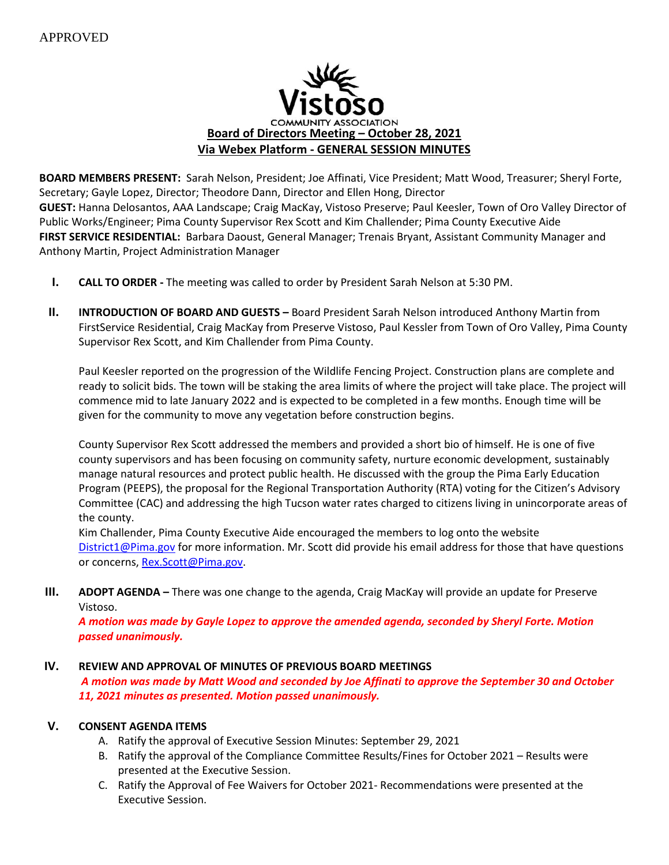

**BOARD MEMBERS PRESENT:** Sarah Nelson, President; Joe Affinati, Vice President; Matt Wood, Treasurer; Sheryl Forte, Secretary; Gayle Lopez, Director; Theodore Dann, Director and Ellen Hong, Director **GUEST:** Hanna Delosantos, AAA Landscape; Craig MacKay, Vistoso Preserve; Paul Keesler, Town of Oro Valley Director of Public Works/Engineer; Pima County Supervisor Rex Scott and Kim Challender; Pima County Executive Aide **FIRST SERVICE RESIDENTIAL:** Barbara Daoust, General Manager; Trenais Bryant, Assistant Community Manager and Anthony Martin, Project Administration Manager

- **I. CALL TO ORDER -** The meeting was called to order by President Sarah Nelson at 5:30 PM.
- **II. INTRODUCTION OF BOARD AND GUESTS –** Board President Sarah Nelson introduced Anthony Martin from FirstService Residential, Craig MacKay from Preserve Vistoso, Paul Kessler from Town of Oro Valley, Pima County Supervisor Rex Scott, and Kim Challender from Pima County.

Paul Keesler reported on the progression of the Wildlife Fencing Project. Construction plans are complete and ready to solicit bids. The town will be staking the area limits of where the project will take place. The project will commence mid to late January 2022 and is expected to be completed in a few months. Enough time will be given for the community to move any vegetation before construction begins.

County Supervisor Rex Scott addressed the members and provided a short bio of himself. He is one of five county supervisors and has been focusing on community safety, nurture economic development, sustainably manage natural resources and protect public health. He discussed with the group the Pima Early Education Program (PEEPS), the proposal for the Regional Transportation Authority (RTA) voting for the Citizen's Advisory Committee (CAC) and addressing the high Tucson water rates charged to citizens living in unincorporate areas of the county.

Kim Challender, Pima County Executive Aide encouraged the members to log onto the website [District1@Pima.gov](mailto:District1@Pima.gov) for more information. Mr. Scott did provide his email address for those that have questions or concerns[, Rex.Scott@Pima.gov.](mailto:Rex.Scott@Pima.gov)

**III. ADOPT AGENDA –** There was one change to the agenda, Craig MacKay will provide an update for Preserve Vistoso.

*A motion was made by Gayle Lopez to approve the amended agenda, seconded by Sheryl Forte. Motion passed unanimously.*

# **IV. REVIEW AND APPROVAL OF MINUTES OF PREVIOUS BOARD MEETINGS**

*A motion was made by Matt Wood and seconded by Joe Affinati to approve the September 30 and October 11, 2021 minutes as presented. Motion passed unanimously.*

# **V. CONSENT AGENDA ITEMS**

- A. Ratify the approval of Executive Session Minutes: September 29, 2021
- B. Ratify the approval of the Compliance Committee Results/Fines for October 2021 Results were presented at the Executive Session.
- C. Ratify the Approval of Fee Waivers for October 2021- Recommendations were presented at the Executive Session.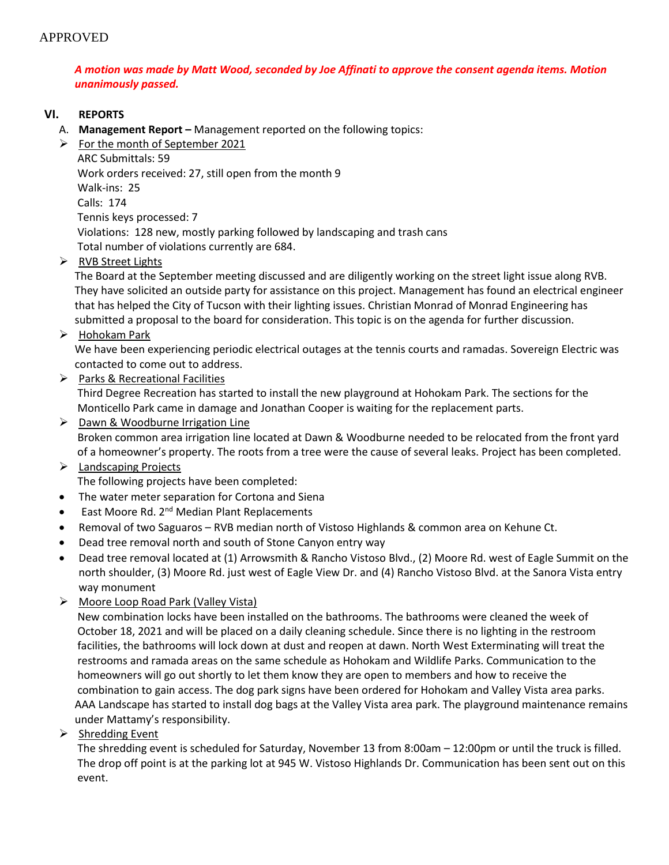# *A motion was made by Matt Wood, seconded by Joe Affinati to approve the consent agenda items. Motion unanimously passed.*

#### **VI. REPORTS**

- A. **Management Report –** Management reported on the following topics:
- $\triangleright$  For the month of September 2021

ARC Submittals: 59

Work orders received: 27, still open from the month 9

Walk-ins: 25

Calls: 174

Tennis keys processed: 7

 Violations: 128 new, mostly parking followed by landscaping and trash cans Total number of violations currently are 684.

➢ RVB Street Lights

 The Board at the September meeting discussed and are diligently working on the street light issue along RVB. They have solicited an outside party for assistance on this project. Management has found an electrical engineer that has helped the City of Tucson with their lighting issues. Christian Monrad of Monrad Engineering has submitted a proposal to the board for consideration. This topic is on the agenda for further discussion.

➢ Hohokam Park

 We have been experiencing periodic electrical outages at the tennis courts and ramadas. Sovereign Electric was contacted to come out to address.

➢ Parks & Recreational Facilities

 Third Degree Recreation has started to install the new playground at Hohokam Park. The sections for the Monticello Park came in damage and Jonathan Cooper is waiting for the replacement parts.

- ➢ Dawn & Woodburne Irrigation Line Broken common area irrigation line located at Dawn & Woodburne needed to be relocated from the front yard of a homeowner's property. The roots from a tree were the cause of several leaks. Project has been completed.
- ➢ Landscaping Projects The following projects have been completed:
- The water meter separation for Cortona and Siena
- East Moore Rd. 2<sup>nd</sup> Median Plant Replacements
- Removal of two Saguaros RVB median north of Vistoso Highlands & common area on Kehune Ct.
- Dead tree removal north and south of Stone Canyon entry way
- Dead tree removal located at (1) Arrowsmith & Rancho Vistoso Blvd., (2) Moore Rd. west of Eagle Summit on the north shoulder, (3) Moore Rd. just west of Eagle View Dr. and (4) Rancho Vistoso Blvd. at the Sanora Vista entry way monument
- ➢ Moore Loop Road Park (Valley Vista)

 New combination locks have been installed on the bathrooms. The bathrooms were cleaned the week of October 18, 2021 and will be placed on a daily cleaning schedule. Since there is no lighting in the restroom facilities, the bathrooms will lock down at dust and reopen at dawn. North West Exterminating will treat the restrooms and ramada areas on the same schedule as Hohokam and Wildlife Parks. Communication to the homeowners will go out shortly to let them know they are open to members and how to receive the combination to gain access. The dog park signs have been ordered for Hohokam and Valley Vista area parks. AAA Landscape has started to install dog bags at the Valley Vista area park. The playground maintenance remains under Mattamy's responsibility.

 $\triangleright$  Shredding Event

 The shredding event is scheduled for Saturday, November 13 from 8:00am – 12:00pm or until the truck is filled. The drop off point is at the parking lot at 945 W. Vistoso Highlands Dr. Communication has been sent out on this event.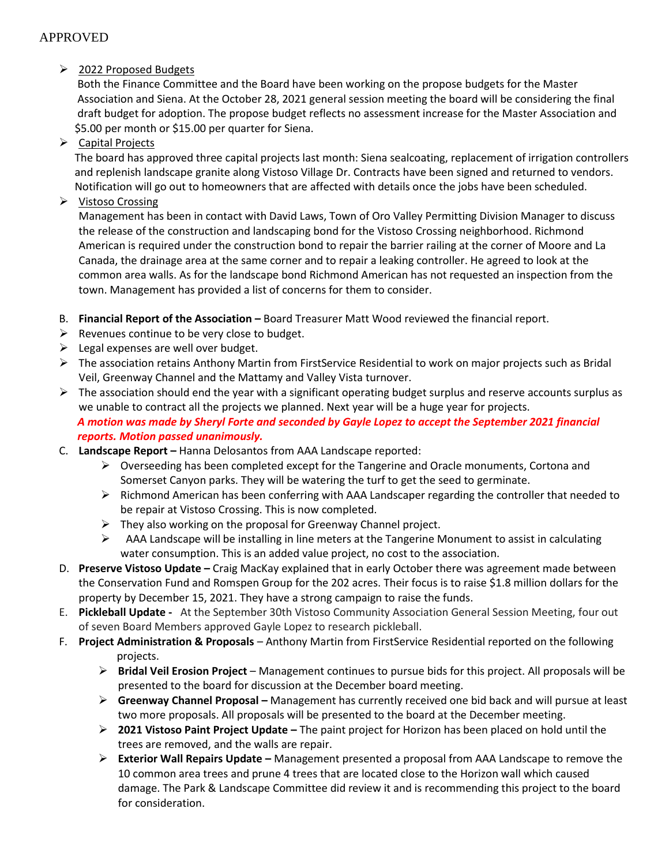## ➢ 2022 Proposed Budgets

 Both the Finance Committee and the Board have been working on the propose budgets for the Master Association and Siena. At the October 28, 2021 general session meeting the board will be considering the final draft budget for adoption. The propose budget reflects no assessment increase for the Master Association and \$5.00 per month or \$15.00 per quarter for Siena.

➢ Capital Projects

 The board has approved three capital projects last month: Siena sealcoating, replacement of irrigation controllers and replenish landscape granite along Vistoso Village Dr. Contracts have been signed and returned to vendors. Notification will go out to homeowners that are affected with details once the jobs have been scheduled.

➢ Vistoso Crossing

Management has been in contact with David Laws, Town of Oro Valley Permitting Division Manager to discuss the release of the construction and landscaping bond for the Vistoso Crossing neighborhood. Richmond American is required under the construction bond to repair the barrier railing at the corner of Moore and La Canada, the drainage area at the same corner and to repair a leaking controller. He agreed to look at the common area walls. As for the landscape bond Richmond American has not requested an inspection from the town. Management has provided a list of concerns for them to consider.

- B. **Financial Report of the Association –** Board Treasurer Matt Wood reviewed the financial report.
- $\triangleright$  Revenues continue to be very close to budget.
- $\triangleright$  Legal expenses are well over budget.
- ➢ The association retains Anthony Martin from FirstService Residential to work on major projects such as Bridal Veil, Greenway Channel and the Mattamy and Valley Vista turnover.
- $\triangleright$  The association should end the year with a significant operating budget surplus and reserve accounts surplus as we unable to contract all the projects we planned. Next year will be a huge year for projects.  *A motion was made by Sheryl Forte and seconded by Gayle Lopez to accept the September 2021 financial reports. Motion passed unanimously.*
- C. **Landscape Report –** Hanna Delosantos from AAA Landscape reported:
	- ➢ Overseeding has been completed except for the Tangerine and Oracle monuments, Cortona and Somerset Canyon parks. They will be watering the turf to get the seed to germinate.
	- $\triangleright$  Richmond American has been conferring with AAA Landscaper regarding the controller that needed to be repair at Vistoso Crossing. This is now completed.
	- $\triangleright$  They also working on the proposal for Greenway Channel project.
	- $\triangleright$  AAA Landscape will be installing in line meters at the Tangerine Monument to assist in calculating water consumption. This is an added value project, no cost to the association.
- D. **Preserve Vistoso Update –** Craig MacKay explained that in early October there was agreement made between the Conservation Fund and Romspen Group for the 202 acres. Their focus is to raise \$1.8 million dollars for the property by December 15, 2021. They have a strong campaign to raise the funds.
- E. **Pickleball Update -** At the September 30th Vistoso Community Association General Session Meeting, four out of seven Board Members approved Gayle Lopez to research pickleball.
- F. **Project Administration & Proposals** Anthony Martin from FirstService Residential reported on the following projects.
	- ➢ **Bridal Veil Erosion Project**  Management continues to pursue bids for this project. All proposals will be presented to the board for discussion at the December board meeting.
	- ➢ **Greenway Channel Proposal –** Management has currently received one bid back and will pursue at least two more proposals. All proposals will be presented to the board at the December meeting.
	- ➢ **2021 Vistoso Paint Project Update –** The paint project for Horizon has been placed on hold until the trees are removed, and the walls are repair.
	- ➢ **Exterior Wall Repairs Update –** Management presented a proposal from AAA Landscape to remove the 10 common area trees and prune 4 trees that are located close to the Horizon wall which caused damage. The Park & Landscape Committee did review it and is recommending this project to the board for consideration.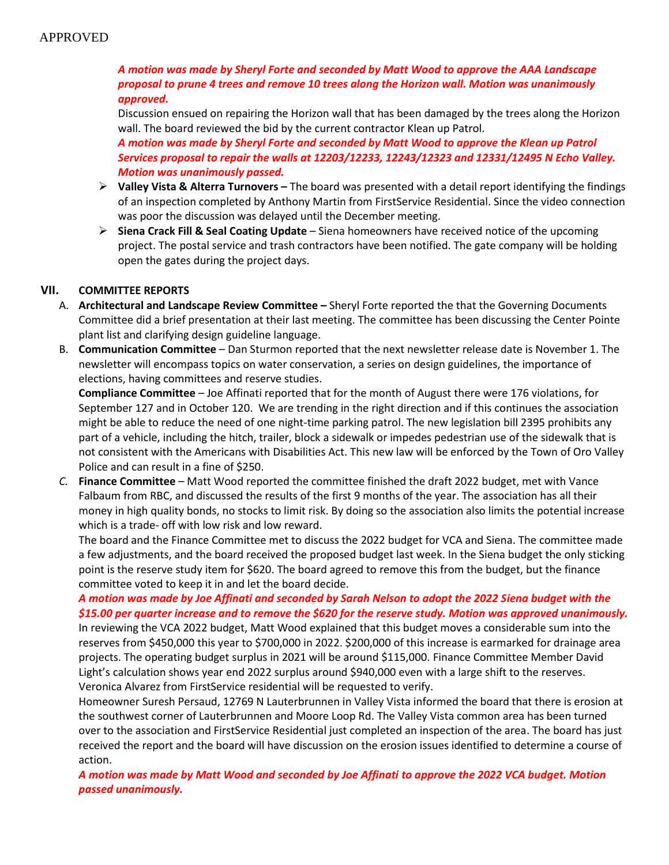# *A motion was made by Sheryl Forte and seconded by Matt Wood to approve the AAA Landscape proposal to prune 4 trees and remove 10 trees along the Horizon wall. Motion was unanimously approved.*

Discussion ensued on repairing the Horizon wall that has been damaged by the trees along the Horizon wall. The board reviewed the bid by the current contractor Klean up Patrol.

*A motion was made by Sheryl Forte and seconded by Matt Wood to approve the Klean up Patrol Services proposal to repair the walls at 12203/12233, 12243/12323 and 12331/12495 N Echo Valley. Motion was unanimously passed.* 

- ➢ **Valley Vista & Alterra Turnovers –** The board was presented with a detail report identifying the findings of an inspection completed by Anthony Martin from FirstService Residential. Since the video connection was poor the discussion was delayed until the December meeting.
- ➢ **Siena Crack Fill & Seal Coating Update** Siena homeowners have received notice of the upcoming project. The postal service and trash contractors have been notified. The gate company will be holding open the gates during the project days.

#### **VII. COMMITTEE REPORTS**

- A. **Architectural and Landscape Review Committee –** Sheryl Forte reported the that the Governing Documents Committee did a brief presentation at their last meeting. The committee has been discussing the Center Pointe plant list and clarifying design guideline language.
- B. **Communication Committee** Dan Sturmon reported that the next newsletter release date is November 1. The newsletter will encompass topics on water conservation, a series on design guidelines, the importance of elections, having committees and reserve studies.

**Compliance Committee** – Joe Affinati reported that for the month of August there were 176 violations, for September 127 and in October 120. We are trending in the right direction and if this continues the association might be able to reduce the need of one night-time parking patrol. The new legislation bill 2395 prohibits any part of a vehicle, including the hitch, trailer, block a sidewalk or impedes pedestrian use of the sidewalk that is not consistent with the Americans with Disabilities Act. This new law will be enforced by the Town of Oro Valley Police and can result in a fine of \$250.

*C.* **Finance Committee** – Matt Wood reported the committee finished the draft 2022 budget, met with Vance Falbaum from RBC, and discussed the results of the first 9 months of the year. The association has all their money in high quality bonds, no stocks to limit risk. By doing so the association also limits the potential increase which is a trade- off with low risk and low reward.

The board and the Finance Committee met to discuss the 2022 budget for VCA and Siena. The committee made a few adjustments, and the board received the proposed budget last week. In the Siena budget the only sticking point is the reserve study item for \$620. The board agreed to remove this from the budget, but the finance committee voted to keep it in and let the board decide.

*A motion was made by Joe Affinati and seconded by Sarah Nelson to adopt the 2022 Siena budget with the \$15.00 per quarter increase and to remove the \$620 for the reserve study. Motion was approved unanimously.* 

In reviewing the VCA 2022 budget, Matt Wood explained that this budget moves a considerable sum into the reserves from \$450,000 this year to \$700,000 in 2022. \$200,000 of this increase is earmarked for drainage area projects. The operating budget surplus in 2021 will be around \$115,000. Finance Committee Member David Light's calculation shows year end 2022 surplus around \$940,000 even with a large shift to the reserves. Veronica Alvarez from FirstService residential will be requested to verify.

Homeowner Suresh Persaud, 12769 N Lauterbrunnen in Valley Vista informed the board that there is erosion at the southwest corner of Lauterbrunnen and Moore Loop Rd. The Valley Vista common area has been turned over to the association and FirstService Residential just completed an inspection of the area. The board has just received the report and the board will have discussion on the erosion issues identified to determine a course of action.

*A motion was made by Matt Wood and seconded by Joe Affinati to approve the 2022 VCA budget. Motion passed unanimously.*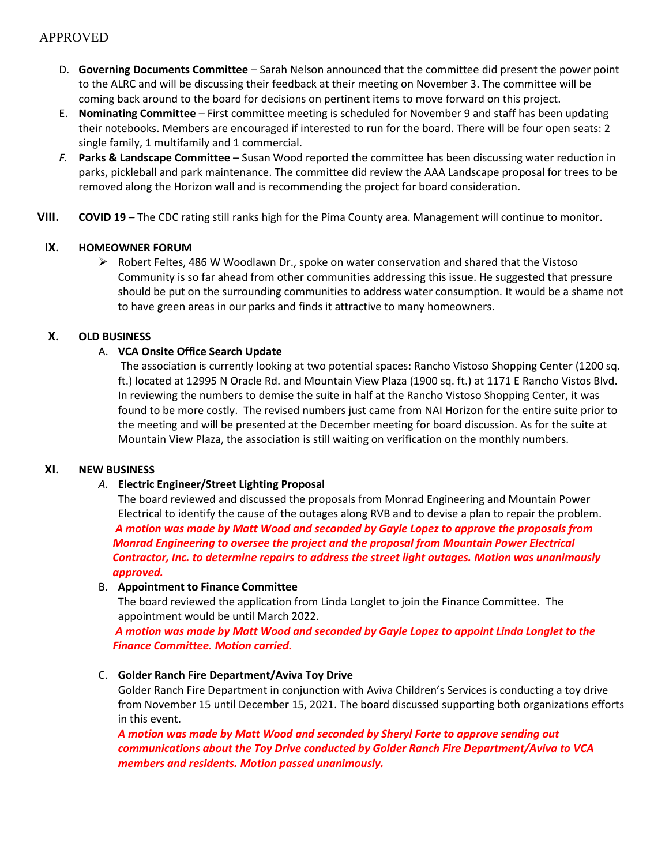- D. **Governing Documents Committee** Sarah Nelson announced that the committee did present the power point to the ALRC and will be discussing their feedback at their meeting on November 3. The committee will be coming back around to the board for decisions on pertinent items to move forward on this project.
- E. **Nominating Committee** First committee meeting is scheduled for November 9 and staff has been updating their notebooks. Members are encouraged if interested to run for the board. There will be four open seats: 2 single family, 1 multifamily and 1 commercial.
- *F.* **Parks & Landscape Committee**  Susan Wood reported the committee has been discussing water reduction in parks, pickleball and park maintenance. The committee did review the AAA Landscape proposal for trees to be removed along the Horizon wall and is recommending the project for board consideration.
- **VIII. COVID 19 –** The CDC rating still ranks high for the Pima County area. Management will continue to monitor.

#### **IX. HOMEOWNER FORUM**

 $\triangleright$  Robert Feltes, 486 W Woodlawn Dr., spoke on water conservation and shared that the Vistoso Community is so far ahead from other communities addressing this issue. He suggested that pressure should be put on the surrounding communities to address water consumption. It would be a shame not to have green areas in our parks and finds it attractive to many homeowners.

# **X. OLD BUSINESS**

# A. **VCA Onsite Office Search Update**

The association is currently looking at two potential spaces: Rancho Vistoso Shopping Center (1200 sq. ft.) located at 12995 N Oracle Rd. and Mountain View Plaza (1900 sq. ft.) at 1171 E Rancho Vistos Blvd. In reviewing the numbers to demise the suite in half at the Rancho Vistoso Shopping Center, it was found to be more costly. The revised numbers just came from NAI Horizon for the entire suite prior to the meeting and will be presented at the December meeting for board discussion. As for the suite at Mountain View Plaza, the association is still waiting on verification on the monthly numbers.

#### **XI. NEW BUSINESS**

# *A.* **Electric Engineer/Street Lighting Proposal**

The board reviewed and discussed the proposals from Monrad Engineering and Mountain Power Electrical to identify the cause of the outages along RVB and to devise a plan to repair the problem.  *A motion was made by Matt Wood and seconded by Gayle Lopez to approve the proposals from Monrad Engineering to oversee the project and the proposal from Mountain Power Electrical Contractor, Inc. to determine repairs to address the street light outages. Motion was unanimously approved.* 

#### B. **Appointment to Finance Committee**

The board reviewed the application from Linda Longlet to join the Finance Committee. The appointment would be until March 2022.

 *A motion was made by Matt Wood and seconded by Gayle Lopez to appoint Linda Longlet to the Finance Committee. Motion carried.* 

#### C. **Golder Ranch Fire Department/Aviva Toy Drive**

Golder Ranch Fire Department in conjunction with Aviva Children's Services is conducting a toy drive from November 15 until December 15, 2021. The board discussed supporting both organizations efforts in this event.

*A motion was made by Matt Wood and seconded by Sheryl Forte to approve sending out communications about the Toy Drive conducted by Golder Ranch Fire Department/Aviva to VCA members and residents. Motion passed unanimously.*